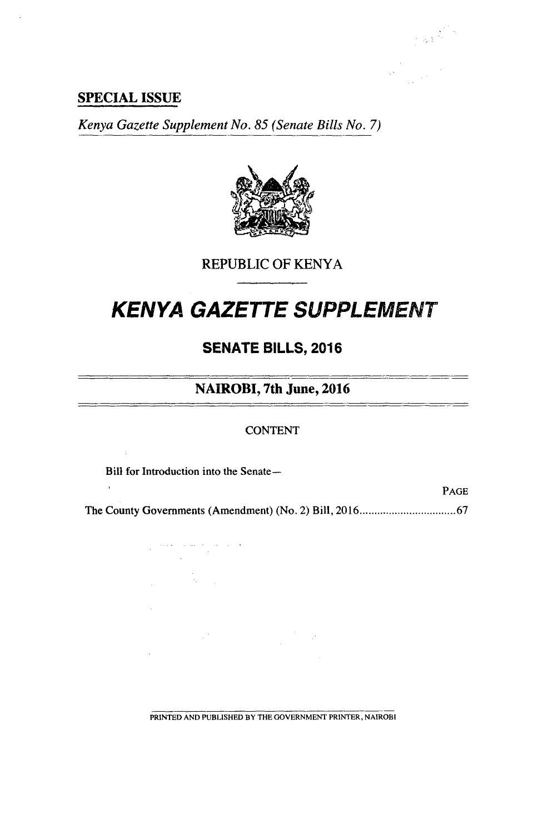### **SPECIAL ISSUE**

*Kenya Gazette Supplement No. 85 (Senate Bills No. 7)* 



REPUBLIC OF KENYA

# **KENYA GAZETTE SUPPLEMENT**

# **SENATE BILLS, 2016**

# **NAIROBI, 7th June, 2016**

#### **CONTENT**

Bill for Introduction into the Senate—

 $\label{eq:1} \begin{split} \mathcal{L}^{(1)}(x) &= \mathcal{L}^{(1)}(x) \quad \text{and} \quad \mathcal{L}^{(1)}(x) &= \mathcal{L}^{(1)}(x) \quad \text{and} \quad \mathcal{L}^{(2)}(x) &= \mathcal{L}^{(2)}(x) \quad \text{and} \quad \mathcal{L}^{(2)}(x) &= \mathcal{L}^{(2)}(x) \quad \text{and} \quad \mathcal{L}^{(2)}(x) &= \mathcal{L}^{(2)}(x) \quad \text{and} \quad \mathcal{L}^{(2)}(x) &= \mathcal{L}^{(2)}(x) \$ 

 $\mathcal{L}(\mathcal{F})$  .

 $\frac{1}{2} \left( \frac{1}{2} \right)^{2} \left( \frac{1}{2} \right)^{2} \left( \frac{1}{2} \right)^{2} \left( \frac{1}{2} \right)^{2}$ 

 $\chi^2_{\rm{max}}$ 

J.

 $\overline{a}$ 

 $\bar{A}$ 

PAGE

The County Governments (Amendment) (No. 2) Bill, 2016.................................67

PRINTED AND PUBLISHED BY THE GOVERNMENT PRINTER, NAIROBI

 $\label{eq:2} \frac{1}{\sqrt{2}}\left(\frac{1}{\sqrt{2}}\right)^{2} \frac{1}{\sqrt{2}}\left(\frac{1}{\sqrt{2}}\right)^{2}$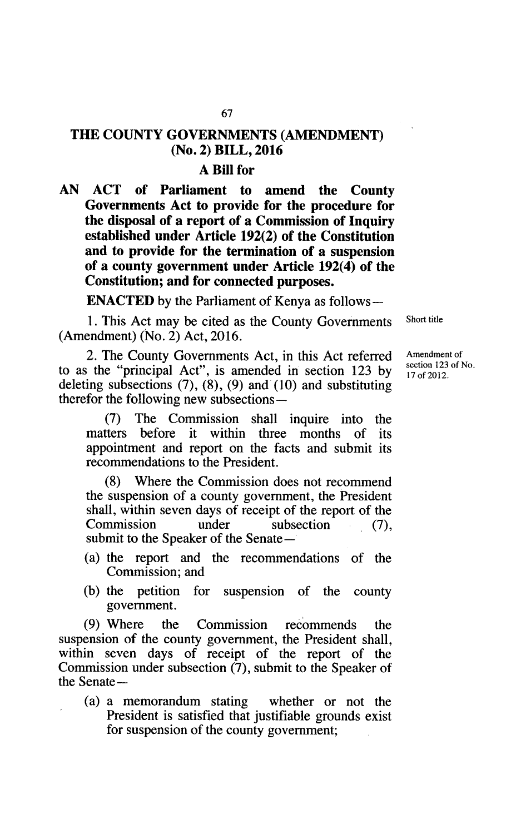# **THE COUNTY GOVERNMENTS (AMENDMENT) (No.** 2) **BILL, 2016**

### **A Bill for**

**AN ACT of Parliament to amend the County Governments Act to provide for the procedure for the disposal of a report of a Commission of Inquiry established under Article 192(2) of the Constitution and to provide for the termination of a suspension of a county government under Article 192(4) of the Constitution; and for connected purposes.** 

**ENACTED** by the Parliament of Kenya as follows-

1. This Act may be cited as the County Governments Short title (Amendment) (No. 2) Act, 2016.

2. The County Governments Act, in this Act referred Amendment of section 123 of No. to as the "principal Act", is amended in section  $123$  by deleting subsections (7), (8), (9) and (10) and substituting therefor the following new subsections—

(7) The Commission shall inquire into the term before it within three months of its matters before it within three months appointment and report on the facts and submit its recommendations to the President.

(8) Where the Commission does not recommend the suspension of a county government, the President shall, within seven days of receipt of the report of the Commission under subsection (7), submit to the Speaker of the Senate—

- (a) the report and the recommendations of the Commission; and
- (b) the petition for suspension of the county government.

(9) Where the Commission recommends the suspension of the county government, the President shall, within seven days of receipt of the report of the Commission under subsection (7), submit to the Speaker of the Senate—

(a) a memorandum stating whether or not the President is satisfied that justifiable grounds exist for suspension of the county government;

17 of 2012.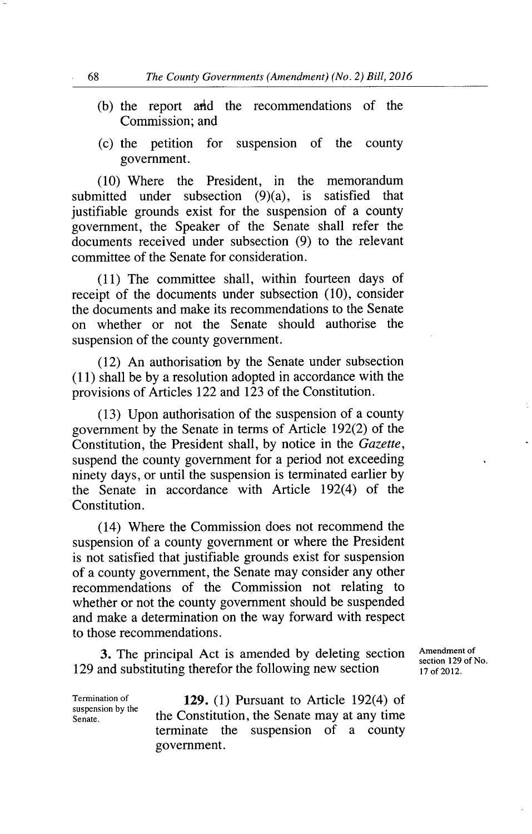- $(b)$  the report and the recommendations of the Commission; and
- $(t)$  the petition for suspension of the county government.

Where the President, in the memorandum submitted under subsection (9)(a), is satisfied that justifiable grounds exist for the suspension of a county government, the Speaker of the Senate shall refer the documents received under subsection (9) to the relevant committee of the Senate for consideration.

 $(11)$  The committee shall, within fourteen days of receipt of the documents under subsection (10), consider the documents and make its recommendations to the Senate on whether or not the Senate should authorise the suspension of the county government.

(12) An authorisation by the Senate under subsection (11) shall be by a resolution adopted in accordance with the provisions of Articles 122 and 123 of the Constitution.

Upon authorisation of the suspension of a county government by the Senate in terms of Article 192(2) of the Constitution, the President shall, by notice in the Gazette, suspend the county government for a period not exceeding ninety days, or until the suspension is terminated earlier by the Senate in accordance with Article 192(4) of the Constitution.

Where the Commission does not recommend the suspension of a county government or where the President is not satisfied that justifiable grounds exist for suspension of a county government, the Senate may consider any other recommendations of the Commission not relating to whether or not the county government should be suspended and make a determination on the way forward with respect to those recommendations.

3. The principal Act is amended by deleting section Amendment of section 129 of No. 129 and substituting therefor the following new section  $\frac{17}{17 \text{ of } 2012}$ .

suspension by the<br>Senate.

Termination of **129.** (1) Pursuant to Article 192(4) of the Constitution, the Senate may at any time terminate the suspension of a county government.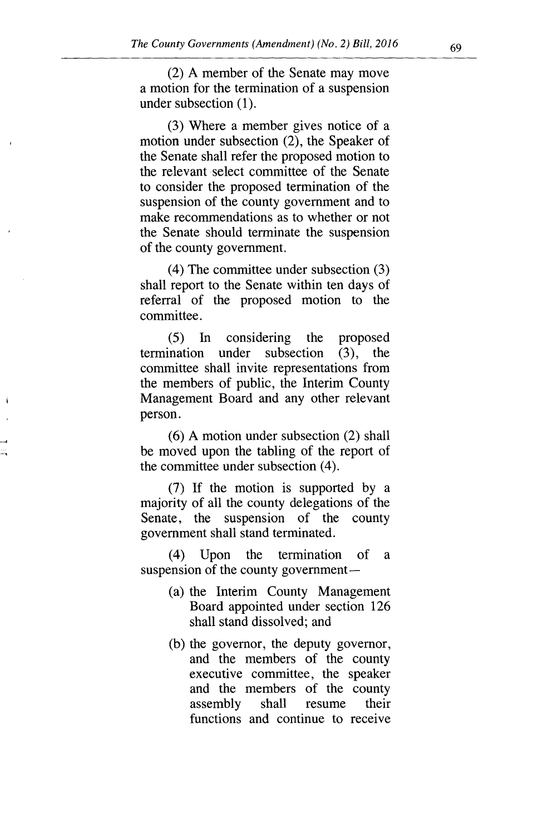A member of the Senate may move a motion for the termination of a suspension under subsection (1).

Where a member gives notice of a motion under subsection (2), the Speaker of the Senate shall refer the proposed motion to the relevant select committee of the Senate to consider the proposed termination of the suspension of the county government and to make recommendations as to whether or not the Senate should terminate the suspension of the county government.

 $(4)$  The committee under subsection  $(3)$ shall report to the Senate within ten days of referral of the proposed motion to the committee.

 $(5)$ In considering the proposed termination under subsection (3), the committee shall invite representations from the members of public, the Interim County Management Board and any other relevant person.

 $(6)$  A motion under subsection  $(2)$  shall be moved upon the tabling of the report of the committee under subsection (4).

If the motion is supported by a majority of all the county delegations of the Senate, the suspension of the county government shall stand terminated.

(4) Upon the termination of a suspension of the county government—

- (a) the Interim County Management Board appointed under section 126 shall stand dissolved; and
- (b) the governor, the deputy governor, and the members of the county executive committee, the speaker and the members of the county<br>assembly shall resume their assembly shall resume functions and continue to receive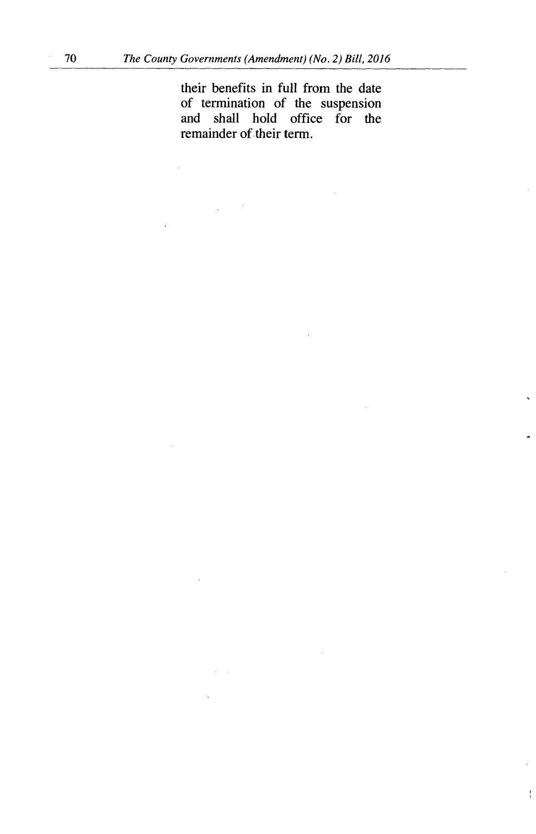$\hat{\mathcal{A}}$ 

their benefits in full from the date of termination of the suspension and shall hold office for the remainder of their term.

ł

 $\mathcal{L}_{\mathcal{A}}$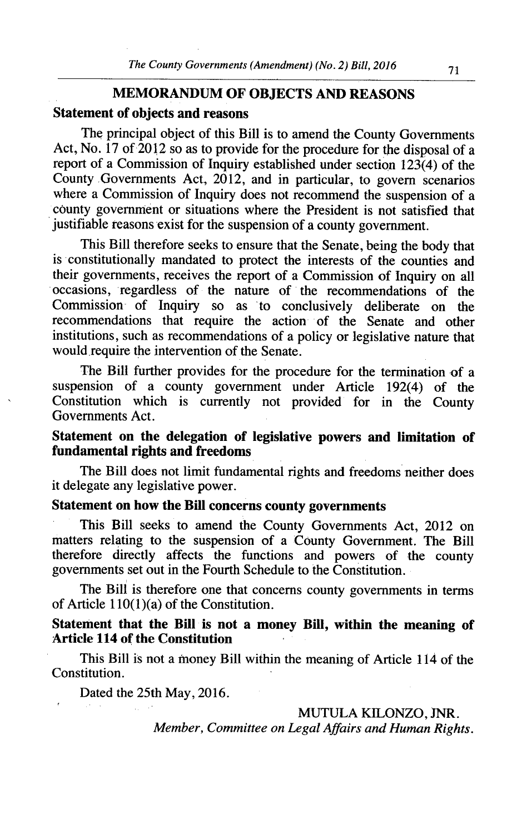# **MEMORANDUM OF OBJECTS AND REASONS Statement of objects and reasons**

The principal object of this Bill is to amend the County Governments Act, No. 17 of 2012 so as to provide for the procedure for the disposal of a report of a Commission of Inquiry established under section 123(4) of the County Governments Act, 2012, and in particular, to govern scenarios where a Commission of Inquiry does not recommend the suspension of a county government or situations where the President is not satisfied that justifiable reasons exist for the suspension of a county government.

This Bill therefore seeks to ensure that the Senate, being the body that is constitutionally mandated to protect the interests of the counties and their governments, receives the report of a Commission of Inquiry on all occasions, regardless of the nature of the recommendations of the Commission of Inquiry so as to conclusively deliberate on the recommendations that require the action of the Senate and other institutions, such as recommendations of a policy or legislative nature that would require the intervention of the Senate.

The Bill further provides for the procedure for the termination of a suspension of a county government under Article 192(4) of the Constitution which is currently not provided for in the County Governments Act.

## **Statement on the delegation of legislative powers and limitation of fundamental rights and freedoms**

The Bill does not limit fundamental rights and freedoms neither does it delegate any legislative power.

# **Statement on how the Bill concerns county governments**

This Bill seeks to amend the County Governments Act, 2012 on matters relating to the suspension of a County Government. The Bill therefore directly affects the functions and powers of the county governments set out in the Fourth Schedule to the Constitution.

The Bill is therefore one that concerns county governments in terms of Article  $110(1)(a)$  of the Constitution.

### **Statement that the Bill is not a money Bill, within the meaning of Article 114 of the Constitution**

This Bill is not a money Bill within the meaning of Article 114 of the Constitution.

Dated the 25th May, 2016.

MUTULA KILONZO, JNR.

*Member, Committee on Legal Affairs and Human Rights.*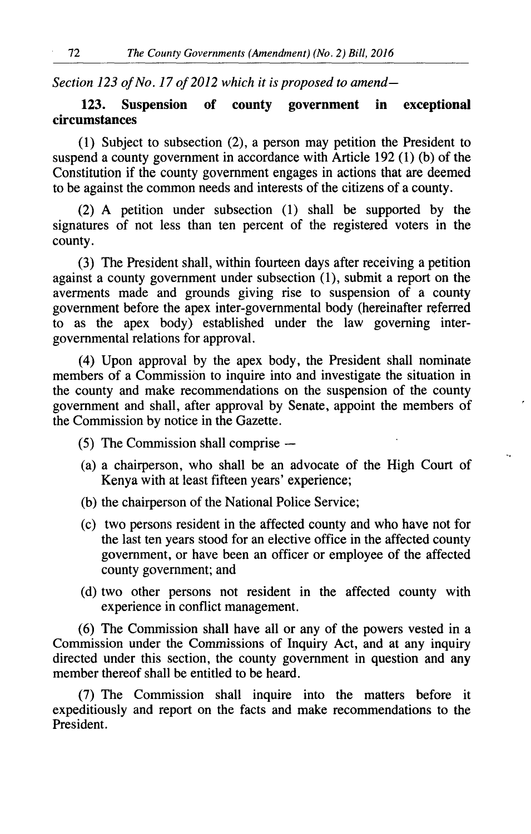*Section 123 of No. 17 of 2012 which it is proposed to amend-*

### **123. Suspension of county government in exceptional circumstances**

(1) Subject to subsection (2), a person may petition the President to suspend a county government in accordance with Article 192 (1) (b) of the Constitution if the county government engages in actions that are deemed to be against the common needs and interests of the citizens of a county.

(2) A petition under subsection (1) shall be supported by the signatures of not less than ten percent of the registered voters in the county.

(3) The President shall, within fourteen days after receiving a petition against a county government under subsection (1), submit a report on the averments made and grounds giving rise to suspension of a county government before the apex inter-governmental body (hereinafter referred to as the apex body) established under the law governing intergovernmental relations for approval.

(4) Upon approval by the apex body, the President shall nominate members of a Commission to inquire into and investigate the situation in the county and make recommendations on the suspension of the county government and shall, after approval by Senate, appoint the members of the Commission by notice in the Gazette.

- *(5)* The Commission shall comprise -
- a chairperson, who shall be an advocate of the High Court of Kenya with at least fifteen years' experience;

 $\ddotsc$ 

- (b) the chairperson of the National Police Service;
- two persons resident in the affected county and who have not for the last ten years stood for an elective office in the affected county government, or have been an officer or employee of the affected county government; and
- (d) two other persons not resident in the affected county with experience in conflict management.

(6) The Commission shall have all or any of the powers vested in a Commission under the Commissions of Inquiry Act, and at any inquiry directed under this section, the county government in question and any member thereof shall be entitled to be heard.

(7) The Commission shall inquire into the matters before it expeditiously and report on the facts and make recommendations to the President.